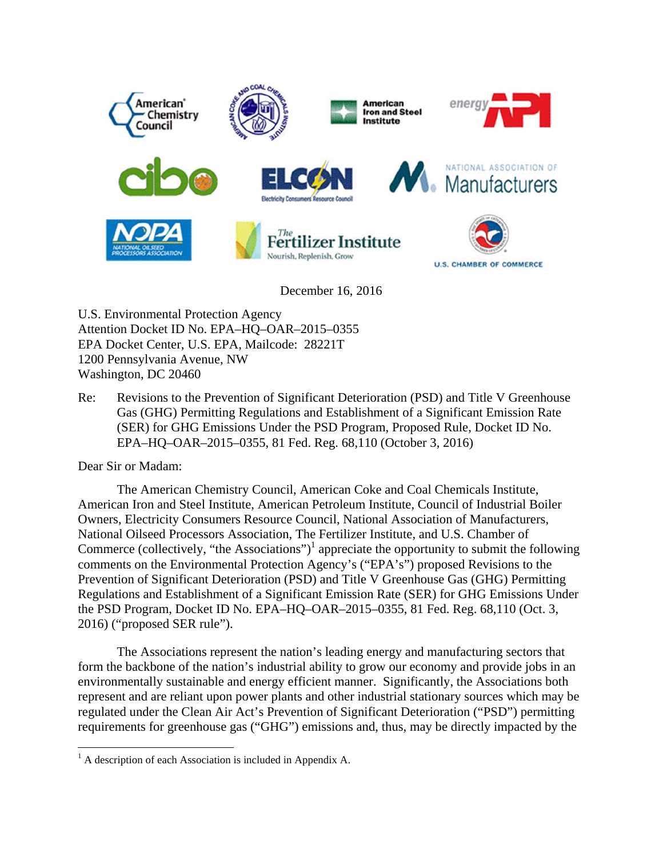

December 16, 2016

U.S. Environmental Protection Agency Attention Docket ID No. EPA–HQ–OAR–2015–0355 EPA Docket Center, U.S. EPA, Mailcode: 28221T 1200 Pennsylvania Avenue, NW Washington, DC 20460

Re: Revisions to the Prevention of Significant Deterioration (PSD) and Title V Greenhouse Gas (GHG) Permitting Regulations and Establishment of a Significant Emission Rate (SER) for GHG Emissions Under the PSD Program, Proposed Rule, Docket ID No. EPA–HQ–OAR–2015–0355, 81 Fed. Reg. 68,110 (October 3, 2016)

Dear Sir or Madam:

<u>.</u>

The American Chemistry Council, American Coke and Coal Chemicals Institute, American Iron and Steel Institute, American Petroleum Institute, Council of Industrial Boiler Owners, Electricity Consumers Resource Council, National Association of Manufacturers, National Oilseed Processors Association, The Fertilizer Institute, and U.S. Chamber of Commerce (collectively, "the Associations")<sup>1</sup> appreciate the opportunity to submit the following comments on the Environmental Protection Agency's ("EPA's") proposed Revisions to the Prevention of Significant Deterioration (PSD) and Title V Greenhouse Gas (GHG) Permitting Regulations and Establishment of a Significant Emission Rate (SER) for GHG Emissions Under the PSD Program, Docket ID No. EPA–HQ–OAR–2015–0355, 81 Fed. Reg. 68,110 (Oct. 3, 2016) ("proposed SER rule").

The Associations represent the nation's leading energy and manufacturing sectors that form the backbone of the nation's industrial ability to grow our economy and provide jobs in an environmentally sustainable and energy efficient manner. Significantly, the Associations both represent and are reliant upon power plants and other industrial stationary sources which may be regulated under the Clean Air Act's Prevention of Significant Deterioration ("PSD") permitting requirements for greenhouse gas ("GHG") emissions and, thus, may be directly impacted by the

<sup>&</sup>lt;sup>1</sup> A description of each Association is included in Appendix A.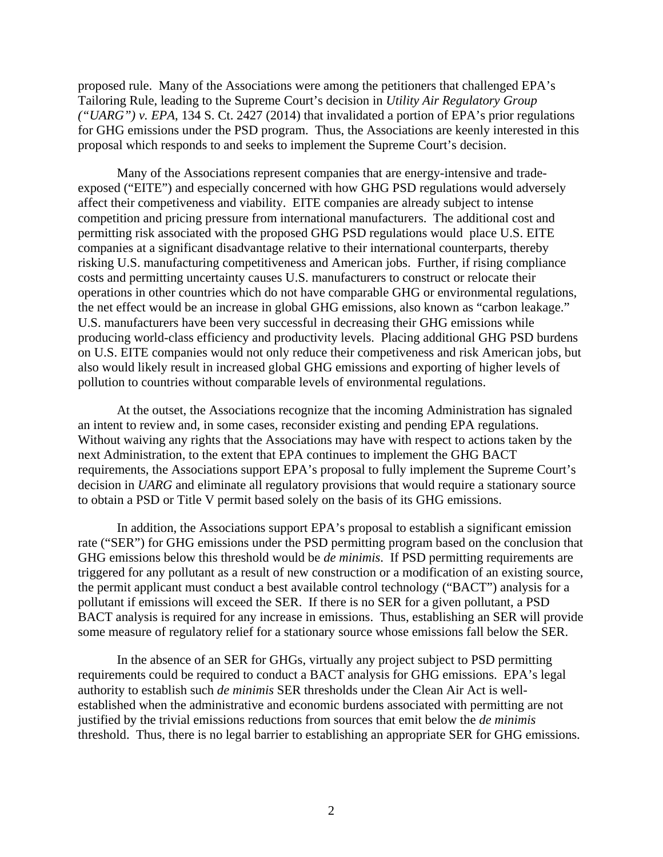proposed rule. Many of the Associations were among the petitioners that challenged EPA's Tailoring Rule, leading to the Supreme Court's decision in *Utility Air Regulatory Group ("UARG") v. EPA*, 134 S. Ct. 2427 (2014) that invalidated a portion of EPA's prior regulations for GHG emissions under the PSD program. Thus, the Associations are keenly interested in this proposal which responds to and seeks to implement the Supreme Court's decision.

Many of the Associations represent companies that are energy-intensive and tradeexposed ("EITE") and especially concerned with how GHG PSD regulations would adversely affect their competiveness and viability. EITE companies are already subject to intense competition and pricing pressure from international manufacturers. The additional cost and permitting risk associated with the proposed GHG PSD regulations would place U.S. EITE companies at a significant disadvantage relative to their international counterparts, thereby risking U.S. manufacturing competitiveness and American jobs. Further, if rising compliance costs and permitting uncertainty causes U.S. manufacturers to construct or relocate their operations in other countries which do not have comparable GHG or environmental regulations, the net effect would be an increase in global GHG emissions, also known as "carbon leakage." U.S. manufacturers have been very successful in decreasing their GHG emissions while producing world-class efficiency and productivity levels. Placing additional GHG PSD burdens on U.S. EITE companies would not only reduce their competiveness and risk American jobs, but also would likely result in increased global GHG emissions and exporting of higher levels of pollution to countries without comparable levels of environmental regulations.

At the outset, the Associations recognize that the incoming Administration has signaled an intent to review and, in some cases, reconsider existing and pending EPA regulations. Without waiving any rights that the Associations may have with respect to actions taken by the next Administration, to the extent that EPA continues to implement the GHG BACT requirements, the Associations support EPA's proposal to fully implement the Supreme Court's decision in *UARG* and eliminate all regulatory provisions that would require a stationary source to obtain a PSD or Title V permit based solely on the basis of its GHG emissions.

In addition, the Associations support EPA's proposal to establish a significant emission rate ("SER") for GHG emissions under the PSD permitting program based on the conclusion that GHG emissions below this threshold would be *de minimis*. If PSD permitting requirements are triggered for any pollutant as a result of new construction or a modification of an existing source, the permit applicant must conduct a best available control technology ("BACT") analysis for a pollutant if emissions will exceed the SER. If there is no SER for a given pollutant, a PSD BACT analysis is required for any increase in emissions. Thus, establishing an SER will provide some measure of regulatory relief for a stationary source whose emissions fall below the SER.

In the absence of an SER for GHGs, virtually any project subject to PSD permitting requirements could be required to conduct a BACT analysis for GHG emissions. EPA's legal authority to establish such *de minimis* SER thresholds under the Clean Air Act is wellestablished when the administrative and economic burdens associated with permitting are not justified by the trivial emissions reductions from sources that emit below the *de minimis* threshold. Thus, there is no legal barrier to establishing an appropriate SER for GHG emissions.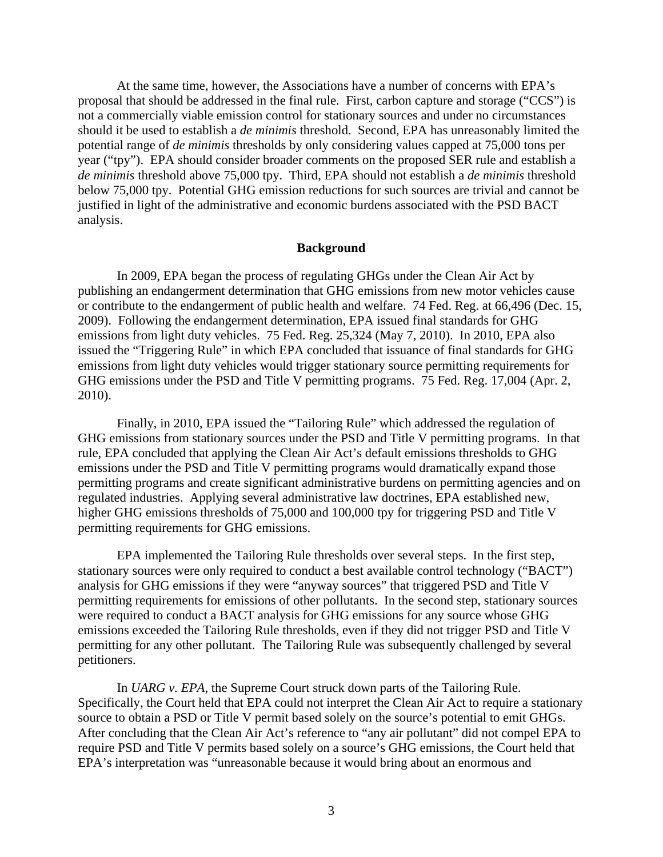At the same time, however, the Associations have a number of concerns with EPA's proposal that should be addressed in the final rule. First, carbon capture and storage ("CCS") is not a commercially viable emission control for stationary sources and under no circumstances should it be used to establish a *de minimis* threshold. Second, EPA has unreasonably limited the potential range of *de minimis* thresholds by only considering values capped at 75,000 tons per year ("tpy"). EPA should consider broader comments on the proposed SER rule and establish a *de minimis* threshold above 75,000 tpy. Third, EPA should not establish a *de minimis* threshold below 75,000 tpy. Potential GHG emission reductions for such sources are trivial and cannot be justified in light of the administrative and economic burdens associated with the PSD BACT analysis.

#### **Background**

In 2009, EPA began the process of regulating GHGs under the Clean Air Act by publishing an endangerment determination that GHG emissions from new motor vehicles cause or contribute to the endangerment of public health and welfare. 74 Fed. Reg. at 66,496 (Dec. 15, 2009). Following the endangerment determination, EPA issued final standards for GHG emissions from light duty vehicles. 75 Fed. Reg. 25,324 (May 7, 2010). In 2010, EPA also issued the "Triggering Rule" in which EPA concluded that issuance of final standards for GHG emissions from light duty vehicles would trigger stationary source permitting requirements for GHG emissions under the PSD and Title V permitting programs. 75 Fed. Reg. 17,004 (Apr. 2, 2010).

Finally, in 2010, EPA issued the "Tailoring Rule" which addressed the regulation of GHG emissions from stationary sources under the PSD and Title V permitting programs. In that rule, EPA concluded that applying the Clean Air Act's default emissions thresholds to GHG emissions under the PSD and Title V permitting programs would dramatically expand those permitting programs and create significant administrative burdens on permitting agencies and on regulated industries. Applying several administrative law doctrines, EPA established new, higher GHG emissions thresholds of 75,000 and 100,000 tpy for triggering PSD and Title V permitting requirements for GHG emissions.

EPA implemented the Tailoring Rule thresholds over several steps. In the first step, stationary sources were only required to conduct a best available control technology ("BACT") analysis for GHG emissions if they were "anyway sources" that triggered PSD and Title V permitting requirements for emissions of other pollutants. In the second step, stationary sources were required to conduct a BACT analysis for GHG emissions for any source whose GHG emissions exceeded the Tailoring Rule thresholds, even if they did not trigger PSD and Title V permitting for any other pollutant. The Tailoring Rule was subsequently challenged by several petitioners.

In *UARG v. EPA*, the Supreme Court struck down parts of the Tailoring Rule. Specifically, the Court held that EPA could not interpret the Clean Air Act to require a stationary source to obtain a PSD or Title V permit based solely on the source's potential to emit GHGs. After concluding that the Clean Air Act's reference to "any air pollutant" did not compel EPA to require PSD and Title V permits based solely on a source's GHG emissions, the Court held that EPA's interpretation was "unreasonable because it would bring about an enormous and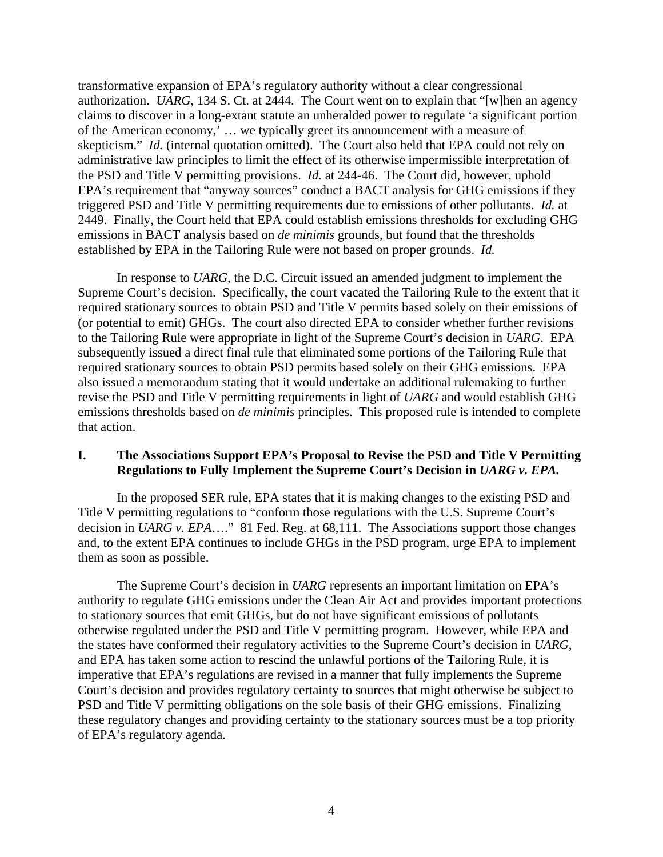transformative expansion of EPA's regulatory authority without a clear congressional authorization. *UARG*, 134 S. Ct. at 2444. The Court went on to explain that "[w]hen an agency claims to discover in a long-extant statute an unheralded power to regulate 'a significant portion of the American economy,' … we typically greet its announcement with a measure of skepticism." *Id.* (internal quotation omitted). The Court also held that EPA could not rely on administrative law principles to limit the effect of its otherwise impermissible interpretation of the PSD and Title V permitting provisions. *Id.* at 244-46. The Court did, however, uphold EPA's requirement that "anyway sources" conduct a BACT analysis for GHG emissions if they triggered PSD and Title V permitting requirements due to emissions of other pollutants. *Id.* at 2449. Finally, the Court held that EPA could establish emissions thresholds for excluding GHG emissions in BACT analysis based on *de minimis* grounds, but found that the thresholds established by EPA in the Tailoring Rule were not based on proper grounds. *Id.*

In response to *UARG*, the D.C. Circuit issued an amended judgment to implement the Supreme Court's decision. Specifically, the court vacated the Tailoring Rule to the extent that it required stationary sources to obtain PSD and Title V permits based solely on their emissions of (or potential to emit) GHGs. The court also directed EPA to consider whether further revisions to the Tailoring Rule were appropriate in light of the Supreme Court's decision in *UARG*. EPA subsequently issued a direct final rule that eliminated some portions of the Tailoring Rule that required stationary sources to obtain PSD permits based solely on their GHG emissions. EPA also issued a memorandum stating that it would undertake an additional rulemaking to further revise the PSD and Title V permitting requirements in light of *UARG* and would establish GHG emissions thresholds based on *de minimis* principles. This proposed rule is intended to complete that action.

# **I. The Associations Support EPA's Proposal to Revise the PSD and Title V Permitting Regulations to Fully Implement the Supreme Court's Decision in** *UARG v. EPA.*

In the proposed SER rule, EPA states that it is making changes to the existing PSD and Title V permitting regulations to "conform those regulations with the U.S. Supreme Court's decision in *UARG v. EPA*…." 81 Fed. Reg. at 68,111. The Associations support those changes and, to the extent EPA continues to include GHGs in the PSD program, urge EPA to implement them as soon as possible.

The Supreme Court's decision in *UARG* represents an important limitation on EPA's authority to regulate GHG emissions under the Clean Air Act and provides important protections to stationary sources that emit GHGs, but do not have significant emissions of pollutants otherwise regulated under the PSD and Title V permitting program. However, while EPA and the states have conformed their regulatory activities to the Supreme Court's decision in *UARG*, and EPA has taken some action to rescind the unlawful portions of the Tailoring Rule, it is imperative that EPA's regulations are revised in a manner that fully implements the Supreme Court's decision and provides regulatory certainty to sources that might otherwise be subject to PSD and Title V permitting obligations on the sole basis of their GHG emissions. Finalizing these regulatory changes and providing certainty to the stationary sources must be a top priority of EPA's regulatory agenda.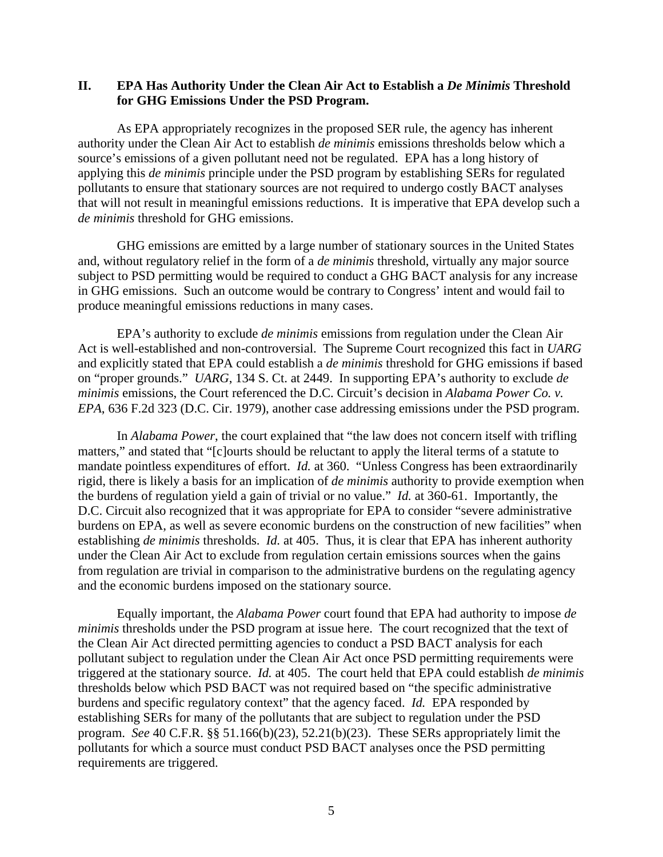# **II. EPA Has Authority Under the Clean Air Act to Establish a** *De Minimis* **Threshold for GHG Emissions Under the PSD Program.**

As EPA appropriately recognizes in the proposed SER rule, the agency has inherent authority under the Clean Air Act to establish *de minimis* emissions thresholds below which a source's emissions of a given pollutant need not be regulated. EPA has a long history of applying this *de minimis* principle under the PSD program by establishing SERs for regulated pollutants to ensure that stationary sources are not required to undergo costly BACT analyses that will not result in meaningful emissions reductions. It is imperative that EPA develop such a *de minimis* threshold for GHG emissions.

GHG emissions are emitted by a large number of stationary sources in the United States and, without regulatory relief in the form of a *de minimis* threshold, virtually any major source subject to PSD permitting would be required to conduct a GHG BACT analysis for any increase in GHG emissions. Such an outcome would be contrary to Congress' intent and would fail to produce meaningful emissions reductions in many cases.

EPA's authority to exclude *de minimis* emissions from regulation under the Clean Air Act is well-established and non-controversial. The Supreme Court recognized this fact in *UARG* and explicitly stated that EPA could establish a *de minimis* threshold for GHG emissions if based on "proper grounds." *UARG*, 134 S. Ct. at 2449. In supporting EPA's authority to exclude *de minimis* emissions, the Court referenced the D.C. Circuit's decision in *Alabama Power Co. v. EPA*, 636 F.2d 323 (D.C. Cir. 1979), another case addressing emissions under the PSD program.

In *Alabama Power*, the court explained that "the law does not concern itself with trifling matters," and stated that "[c]ourts should be reluctant to apply the literal terms of a statute to mandate pointless expenditures of effort. *Id.* at 360. "Unless Congress has been extraordinarily rigid, there is likely a basis for an implication of *de minimis* authority to provide exemption when the burdens of regulation yield a gain of trivial or no value." *Id.* at 360-61. Importantly, the D.C. Circuit also recognized that it was appropriate for EPA to consider "severe administrative burdens on EPA, as well as severe economic burdens on the construction of new facilities" when establishing *de minimis* thresholds. *Id.* at 405. Thus, it is clear that EPA has inherent authority under the Clean Air Act to exclude from regulation certain emissions sources when the gains from regulation are trivial in comparison to the administrative burdens on the regulating agency and the economic burdens imposed on the stationary source.

Equally important, the *Alabama Power* court found that EPA had authority to impose *de minimis* thresholds under the PSD program at issue here. The court recognized that the text of the Clean Air Act directed permitting agencies to conduct a PSD BACT analysis for each pollutant subject to regulation under the Clean Air Act once PSD permitting requirements were triggered at the stationary source. *Id.* at 405. The court held that EPA could establish *de minimis* thresholds below which PSD BACT was not required based on "the specific administrative burdens and specific regulatory context" that the agency faced. *Id.* EPA responded by establishing SERs for many of the pollutants that are subject to regulation under the PSD program. *See* 40 C.F.R. §§ 51.166(b)(23), 52.21(b)(23). These SERs appropriately limit the pollutants for which a source must conduct PSD BACT analyses once the PSD permitting requirements are triggered.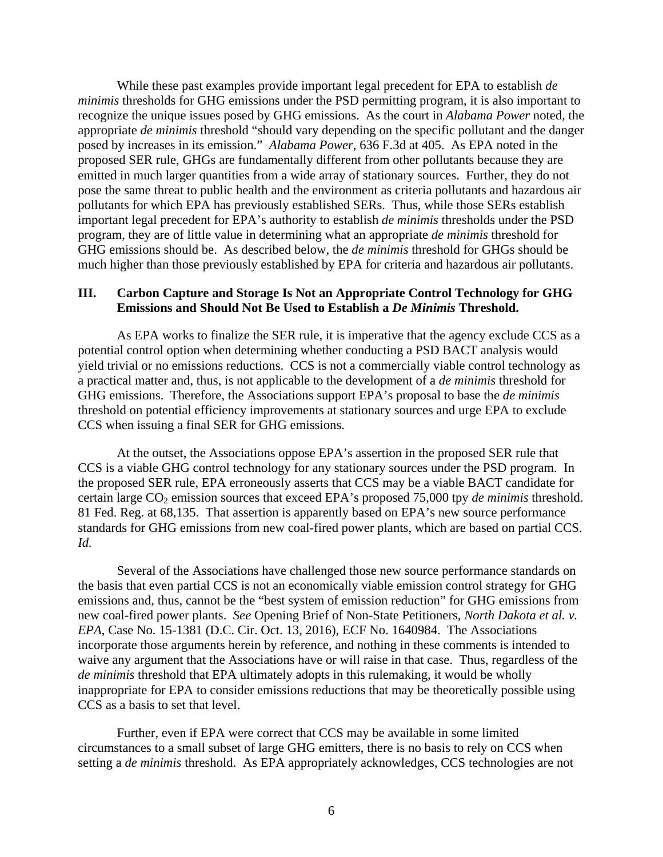While these past examples provide important legal precedent for EPA to establish *de minimis* thresholds for GHG emissions under the PSD permitting program, it is also important to recognize the unique issues posed by GHG emissions. As the court in *Alabama Power* noted, the appropriate *de minimis* threshold "should vary depending on the specific pollutant and the danger posed by increases in its emission." *Alabama Power*, 636 F.3d at 405. As EPA noted in the proposed SER rule, GHGs are fundamentally different from other pollutants because they are emitted in much larger quantities from a wide array of stationary sources. Further, they do not pose the same threat to public health and the environment as criteria pollutants and hazardous air pollutants for which EPA has previously established SERs. Thus, while those SERs establish important legal precedent for EPA's authority to establish *de minimis* thresholds under the PSD program, they are of little value in determining what an appropriate *de minimis* threshold for GHG emissions should be. As described below, the *de minimis* threshold for GHGs should be much higher than those previously established by EPA for criteria and hazardous air pollutants.

# **III. Carbon Capture and Storage Is Not an Appropriate Control Technology for GHG Emissions and Should Not Be Used to Establish a** *De Minimis* **Threshold.**

As EPA works to finalize the SER rule, it is imperative that the agency exclude CCS as a potential control option when determining whether conducting a PSD BACT analysis would yield trivial or no emissions reductions. CCS is not a commercially viable control technology as a practical matter and, thus, is not applicable to the development of a *de minimis* threshold for GHG emissions. Therefore, the Associations support EPA's proposal to base the *de minimis* threshold on potential efficiency improvements at stationary sources and urge EPA to exclude CCS when issuing a final SER for GHG emissions.

At the outset, the Associations oppose EPA's assertion in the proposed SER rule that CCS is a viable GHG control technology for any stationary sources under the PSD program. In the proposed SER rule, EPA erroneously asserts that CCS may be a viable BACT candidate for certain large CO<sub>2</sub> emission sources that exceed EPA's proposed 75,000 tpy *de minimis* threshold. 81 Fed. Reg. at 68,135. That assertion is apparently based on EPA's new source performance standards for GHG emissions from new coal-fired power plants, which are based on partial CCS. *Id.*

Several of the Associations have challenged those new source performance standards on the basis that even partial CCS is not an economically viable emission control strategy for GHG emissions and, thus, cannot be the "best system of emission reduction" for GHG emissions from new coal-fired power plants. *See* Opening Brief of Non-State Petitioners, *North Dakota et al. v. EPA*, Case No. 15-1381 (D.C. Cir. Oct. 13, 2016), ECF No. 1640984. The Associations incorporate those arguments herein by reference, and nothing in these comments is intended to waive any argument that the Associations have or will raise in that case. Thus, regardless of the *de minimis* threshold that EPA ultimately adopts in this rulemaking, it would be wholly inappropriate for EPA to consider emissions reductions that may be theoretically possible using CCS as a basis to set that level.

Further, even if EPA were correct that CCS may be available in some limited circumstances to a small subset of large GHG emitters, there is no basis to rely on CCS when setting a *de minimis* threshold. As EPA appropriately acknowledges, CCS technologies are not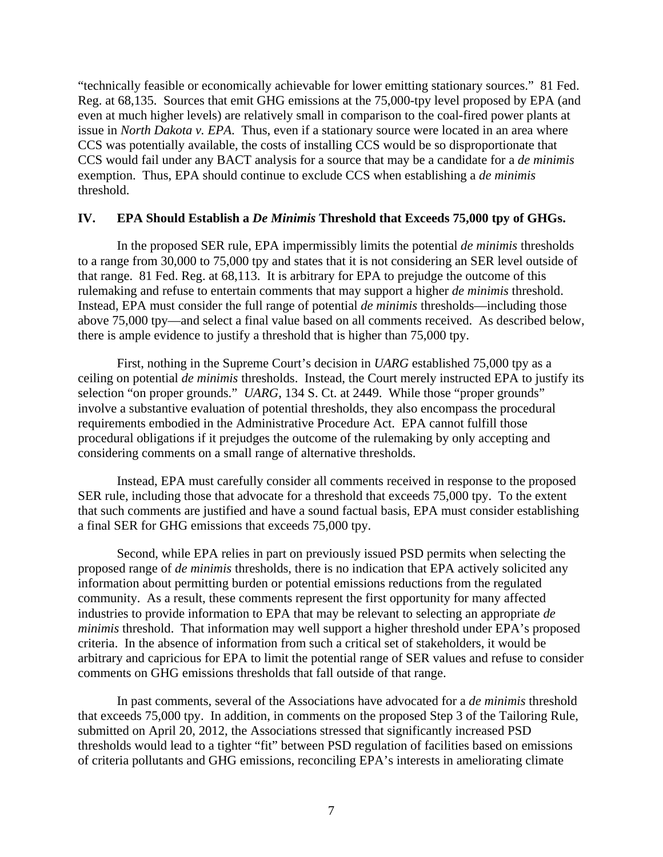"technically feasible or economically achievable for lower emitting stationary sources." 81 Fed. Reg. at 68,135. Sources that emit GHG emissions at the 75,000-tpy level proposed by EPA (and even at much higher levels) are relatively small in comparison to the coal-fired power plants at issue in *North Dakota v. EPA*. Thus, even if a stationary source were located in an area where CCS was potentially available, the costs of installing CCS would be so disproportionate that CCS would fail under any BACT analysis for a source that may be a candidate for a *de minimis* exemption. Thus, EPA should continue to exclude CCS when establishing a *de minimis* threshold.

## **IV. EPA Should Establish a** *De Minimis* **Threshold that Exceeds 75,000 tpy of GHGs.**

In the proposed SER rule, EPA impermissibly limits the potential *de minimis* thresholds to a range from 30,000 to 75,000 tpy and states that it is not considering an SER level outside of that range. 81 Fed. Reg. at 68,113. It is arbitrary for EPA to prejudge the outcome of this rulemaking and refuse to entertain comments that may support a higher *de minimis* threshold. Instead, EPA must consider the full range of potential *de minimis* thresholds—including those above 75,000 tpy—and select a final value based on all comments received. As described below, there is ample evidence to justify a threshold that is higher than 75,000 tpy.

First, nothing in the Supreme Court's decision in *UARG* established 75,000 tpy as a ceiling on potential *de minimis* thresholds. Instead, the Court merely instructed EPA to justify its selection "on proper grounds." *UARG*, 134 S. Ct. at 2449. While those "proper grounds" involve a substantive evaluation of potential thresholds, they also encompass the procedural requirements embodied in the Administrative Procedure Act. EPA cannot fulfill those procedural obligations if it prejudges the outcome of the rulemaking by only accepting and considering comments on a small range of alternative thresholds.

Instead, EPA must carefully consider all comments received in response to the proposed SER rule, including those that advocate for a threshold that exceeds 75,000 tpy. To the extent that such comments are justified and have a sound factual basis, EPA must consider establishing a final SER for GHG emissions that exceeds 75,000 tpy.

Second, while EPA relies in part on previously issued PSD permits when selecting the proposed range of *de minimis* thresholds, there is no indication that EPA actively solicited any information about permitting burden or potential emissions reductions from the regulated community. As a result, these comments represent the first opportunity for many affected industries to provide information to EPA that may be relevant to selecting an appropriate *de minimis* threshold. That information may well support a higher threshold under EPA's proposed criteria. In the absence of information from such a critical set of stakeholders, it would be arbitrary and capricious for EPA to limit the potential range of SER values and refuse to consider comments on GHG emissions thresholds that fall outside of that range.

In past comments, several of the Associations have advocated for a *de minimis* threshold that exceeds 75,000 tpy. In addition, in comments on the proposed Step 3 of the Tailoring Rule, submitted on April 20, 2012, the Associations stressed that significantly increased PSD thresholds would lead to a tighter "fit" between PSD regulation of facilities based on emissions of criteria pollutants and GHG emissions, reconciling EPA's interests in ameliorating climate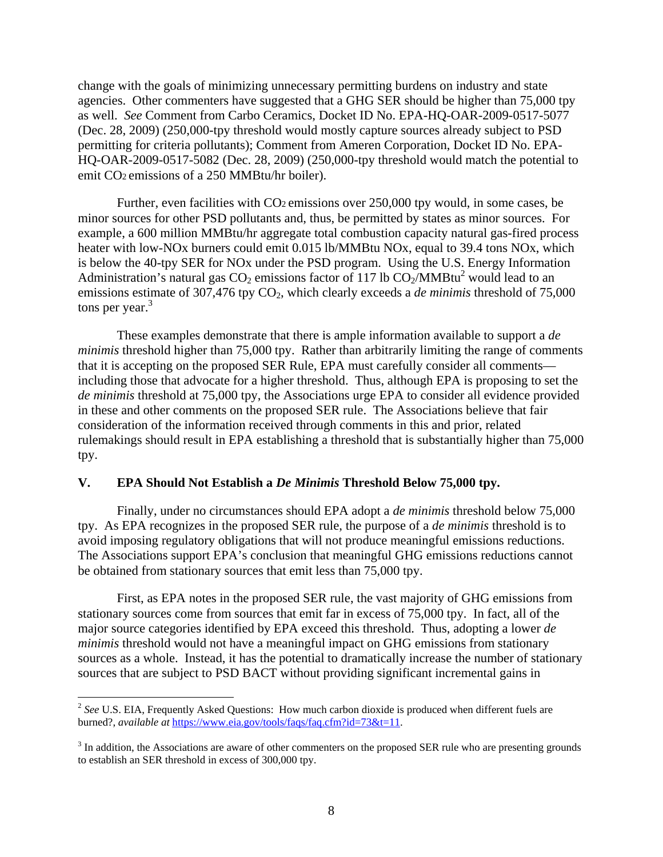change with the goals of minimizing unnecessary permitting burdens on industry and state agencies. Other commenters have suggested that a GHG SER should be higher than 75,000 tpy as well. *See* Comment from Carbo Ceramics, Docket ID No. EPA-HQ-OAR-2009-0517-5077 (Dec. 28, 2009) (250,000-tpy threshold would mostly capture sources already subject to PSD permitting for criteria pollutants); Comment from Ameren Corporation, Docket ID No. EPA-HQ-OAR-2009-0517-5082 (Dec. 28, 2009) (250,000-tpy threshold would match the potential to emit CO2 emissions of a 250 MMBtu/hr boiler).

Further, even facilities with CO2 emissions over 250,000 tpy would, in some cases, be minor sources for other PSD pollutants and, thus, be permitted by states as minor sources. For example, a 600 million MMBtu/hr aggregate total combustion capacity natural gas-fired process heater with low-NO<sub>x</sub> burners could emit 0.015 lb/MMBtu NO<sub>x</sub>, equal to 39.4 tons NO<sub>x</sub>, which is below the 40-tpy SER for NOx under the PSD program. Using the U.S. Energy Information Administration's natural gas  $CO_2$  emissions factor of 117 lb  $CO_2/MMBtu^2$  would lead to an emissions estimate of 307,476 tpy CO<sub>2</sub>, which clearly exceeds a *de minimis* threshold of 75,000 tons per year. $3$ 

These examples demonstrate that there is ample information available to support a *de minimis* threshold higher than 75,000 tpy. Rather than arbitrarily limiting the range of comments that it is accepting on the proposed SER Rule, EPA must carefully consider all comments including those that advocate for a higher threshold. Thus, although EPA is proposing to set the *de minimis* threshold at 75,000 tpy, the Associations urge EPA to consider all evidence provided in these and other comments on the proposed SER rule. The Associations believe that fair consideration of the information received through comments in this and prior, related rulemakings should result in EPA establishing a threshold that is substantially higher than 75,000 tpy.

#### **V. EPA Should Not Establish a** *De Minimis* **Threshold Below 75,000 tpy.**

Finally, under no circumstances should EPA adopt a *de minimis* threshold below 75,000 tpy. As EPA recognizes in the proposed SER rule, the purpose of a *de minimis* threshold is to avoid imposing regulatory obligations that will not produce meaningful emissions reductions. The Associations support EPA's conclusion that meaningful GHG emissions reductions cannot be obtained from stationary sources that emit less than 75,000 tpy.

First, as EPA notes in the proposed SER rule, the vast majority of GHG emissions from stationary sources come from sources that emit far in excess of 75,000 tpy. In fact, all of the major source categories identified by EPA exceed this threshold. Thus, adopting a lower *de minimis* threshold would not have a meaningful impact on GHG emissions from stationary sources as a whole. Instead, it has the potential to dramatically increase the number of stationary sources that are subject to PSD BACT without providing significant incremental gains in

 $\overline{a}$ 

<sup>&</sup>lt;sup>2</sup> See U.S. EIA, Frequently Asked Questions: How much carbon dioxide is produced when different fuels are burned?, *available at* https://www.eia.gov/tools/faqs/faq.cfm?id=73&t=11.

 $3$  In addition, the Associations are aware of other commenters on the proposed SER rule who are presenting grounds to establish an SER threshold in excess of 300,000 tpy.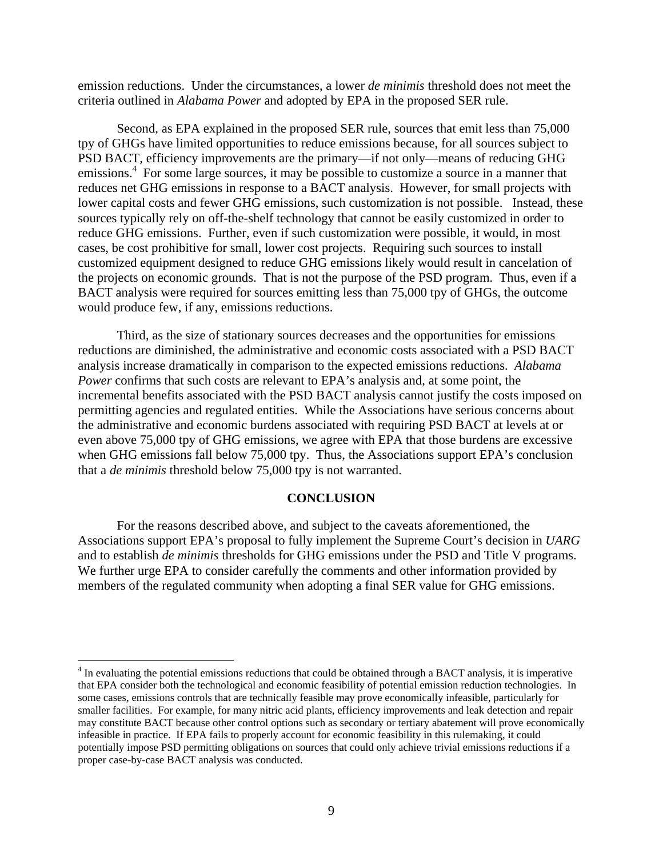emission reductions. Under the circumstances, a lower *de minimis* threshold does not meet the criteria outlined in *Alabama Power* and adopted by EPA in the proposed SER rule.

Second, as EPA explained in the proposed SER rule, sources that emit less than 75,000 tpy of GHGs have limited opportunities to reduce emissions because, for all sources subject to PSD BACT, efficiency improvements are the primary—if not only—means of reducing GHG emissions.<sup>4</sup> For some large sources, it may be possible to customize a source in a manner that reduces net GHG emissions in response to a BACT analysis. However, for small projects with lower capital costs and fewer GHG emissions, such customization is not possible. Instead, these sources typically rely on off-the-shelf technology that cannot be easily customized in order to reduce GHG emissions. Further, even if such customization were possible, it would, in most cases, be cost prohibitive for small, lower cost projects. Requiring such sources to install customized equipment designed to reduce GHG emissions likely would result in cancelation of the projects on economic grounds. That is not the purpose of the PSD program. Thus, even if a BACT analysis were required for sources emitting less than 75,000 tpy of GHGs, the outcome would produce few, if any, emissions reductions.

Third, as the size of stationary sources decreases and the opportunities for emissions reductions are diminished, the administrative and economic costs associated with a PSD BACT analysis increase dramatically in comparison to the expected emissions reductions. *Alabama Power* confirms that such costs are relevant to EPA's analysis and, at some point, the incremental benefits associated with the PSD BACT analysis cannot justify the costs imposed on permitting agencies and regulated entities. While the Associations have serious concerns about the administrative and economic burdens associated with requiring PSD BACT at levels at or even above 75,000 tpy of GHG emissions, we agree with EPA that those burdens are excessive when GHG emissions fall below 75,000 tpy. Thus, the Associations support EPA's conclusion that a *de minimis* threshold below 75,000 tpy is not warranted.

#### **CONCLUSION**

For the reasons described above, and subject to the caveats aforementioned, the Associations support EPA's proposal to fully implement the Supreme Court's decision in *UARG* and to establish *de minimis* thresholds for GHG emissions under the PSD and Title V programs. We further urge EPA to consider carefully the comments and other information provided by members of the regulated community when adopting a final SER value for GHG emissions.

1

<sup>&</sup>lt;sup>4</sup> In evaluating the potential emissions reductions that could be obtained through a BACT analysis, it is imperative that EPA consider both the technological and economic feasibility of potential emission reduction technologies. In some cases, emissions controls that are technically feasible may prove economically infeasible, particularly for smaller facilities. For example, for many nitric acid plants, efficiency improvements and leak detection and repair may constitute BACT because other control options such as secondary or tertiary abatement will prove economically infeasible in practice. If EPA fails to properly account for economic feasibility in this rulemaking, it could potentially impose PSD permitting obligations on sources that could only achieve trivial emissions reductions if a proper case-by-case BACT analysis was conducted.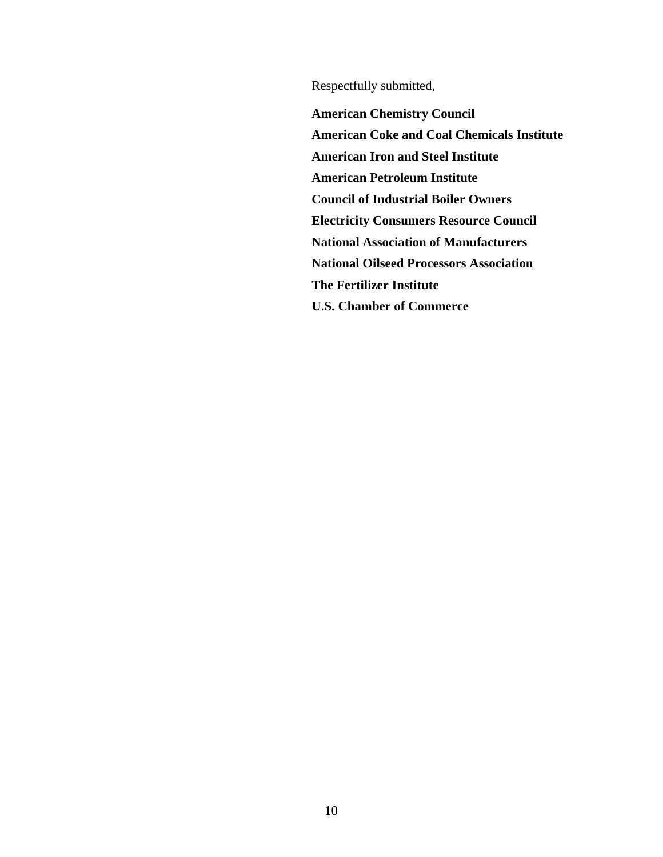Respectfully submitted,

**American Chemistry Council American Coke and Coal Chemicals Institute American Iron and Steel Institute American Petroleum Institute Council of Industrial Boiler Owners Electricity Consumers Resource Council National Association of Manufacturers National Oilseed Processors Association The Fertilizer Institute U.S. Chamber of Commerce**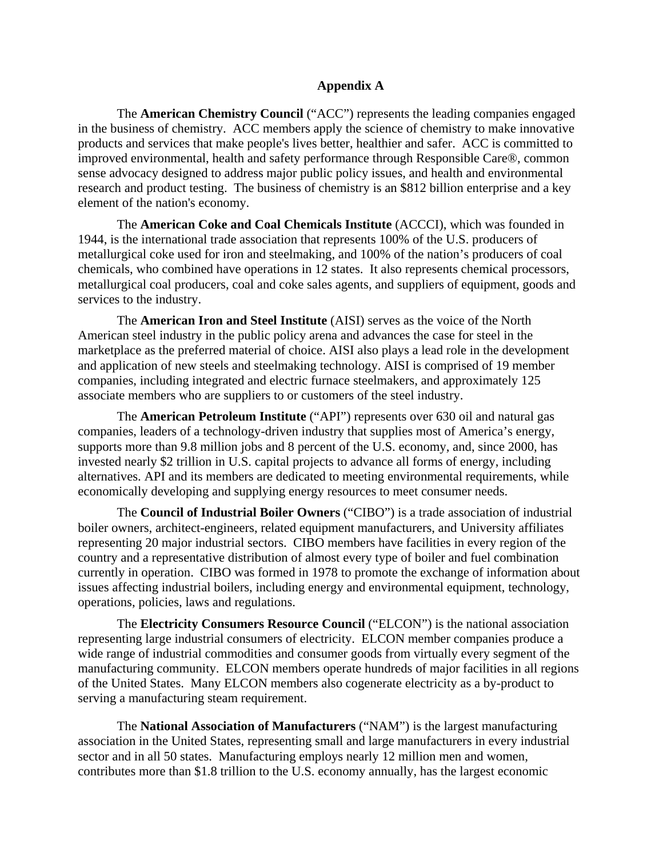# **Appendix A**

The **American Chemistry Council** ("ACC") represents the leading companies engaged in the business of chemistry. ACC members apply the science of chemistry to make innovative products and services that make people's lives better, healthier and safer. ACC is committed to improved environmental, health and safety performance through Responsible Care®, common sense advocacy designed to address major public policy issues, and health and environmental research and product testing. The business of chemistry is an \$812 billion enterprise and a key element of the nation's economy.

The **American Coke and Coal Chemicals Institute** (ACCCI), which was founded in 1944, is the international trade association that represents 100% of the U.S. producers of metallurgical coke used for iron and steelmaking, and 100% of the nation's producers of coal chemicals, who combined have operations in 12 states. It also represents chemical processors, metallurgical coal producers, coal and coke sales agents, and suppliers of equipment, goods and services to the industry.

The **American Iron and Steel Institute** (AISI) serves as the voice of the North American steel industry in the public policy arena and advances the case for steel in the marketplace as the preferred material of choice. AISI also plays a lead role in the development and application of new steels and steelmaking technology. AISI is comprised of 19 member companies, including integrated and electric furnace steelmakers, and approximately 125 associate members who are suppliers to or customers of the steel industry.

The **American Petroleum Institute** ("API") represents over 630 oil and natural gas companies, leaders of a technology-driven industry that supplies most of America's energy, supports more than 9.8 million jobs and 8 percent of the U.S. economy, and, since 2000, has invested nearly \$2 trillion in U.S. capital projects to advance all forms of energy, including alternatives. API and its members are dedicated to meeting environmental requirements, while economically developing and supplying energy resources to meet consumer needs.

The **Council of Industrial Boiler Owners** ("CIBO") is a trade association of industrial boiler owners, architect-engineers, related equipment manufacturers, and University affiliates representing 20 major industrial sectors. CIBO members have facilities in every region of the country and a representative distribution of almost every type of boiler and fuel combination currently in operation. CIBO was formed in 1978 to promote the exchange of information about issues affecting industrial boilers, including energy and environmental equipment, technology, operations, policies, laws and regulations.

The **Electricity Consumers Resource Council** ("ELCON") is the national association representing large industrial consumers of electricity. ELCON member companies produce a wide range of industrial commodities and consumer goods from virtually every segment of the manufacturing community. ELCON members operate hundreds of major facilities in all regions of the United States. Many ELCON members also cogenerate electricity as a by-product to serving a manufacturing steam requirement.

The **National Association of Manufacturers** ("NAM") is the largest manufacturing association in the United States, representing small and large manufacturers in every industrial sector and in all 50 states. Manufacturing employs nearly 12 million men and women, contributes more than \$1.8 trillion to the U.S. economy annually, has the largest economic